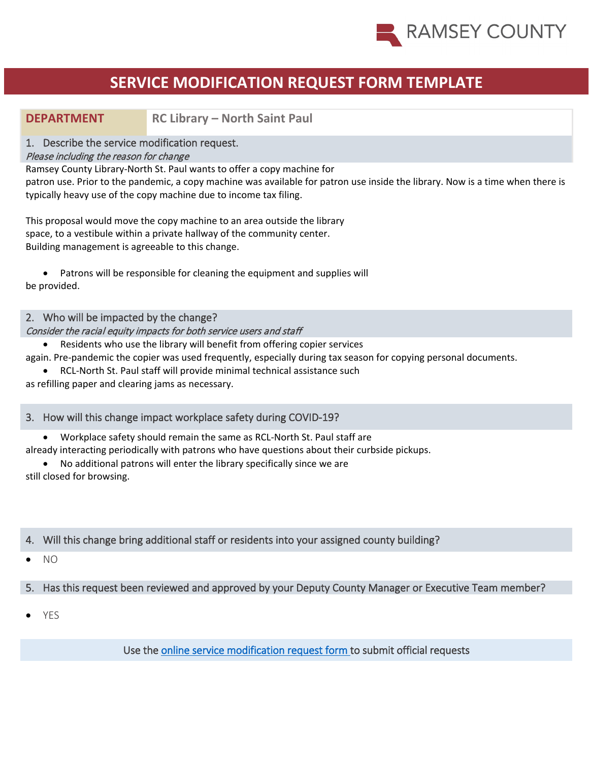

# **DEPARTMENT RC Library – North Saint Paul**

#### 1. Describe the service modification request.

#### Please including the reason for change

Ramsey County Library-North St. Paul wants to offer a copy machine for

patron use. Prior to the pandemic, a copy machine was available for patron use inside the library. Now is a time when there is typically heavy use of the copy machine due to income tax filing.

This proposal would move the copy machine to an area outside the library space, to a vestibule within a private hallway of the community center. Building management is agreeable to this change.

• Patrons will be responsible for cleaning the equipment and supplies will be provided.

## 2. Who will be impacted by the change?

## Consider the racial equity impacts for both service users and staff

• Residents who use the library will benefit from offering copier services

again. Pre-pandemic the copier was used frequently, especially during tax season for copying personal documents.

• RCL-North St. Paul staff will provide minimal technical assistance such

as refilling paper and clearing jams as necessary.

## 3. How will this change impact workplace safety during COVID-19?

• Workplace safety should remain the same as RCL-North St. Paul staff are

already interacting periodically with patrons who have questions about their curbside pickups.

• No additional patrons will enter the library specifically since we are still closed for browsing.

## 4. Will this change bring additional staff or residents into your assigned county building?

 $N<sub>O</sub>$ 

## 5. Has this request been reviewed and approved by your Deputy County Manager or Executive Team member?

• YES

Use the [online service modification request form t](https://ramseynet.us/county-governance/county-manager/covid-19-service-delivery-change-request)o submit official requests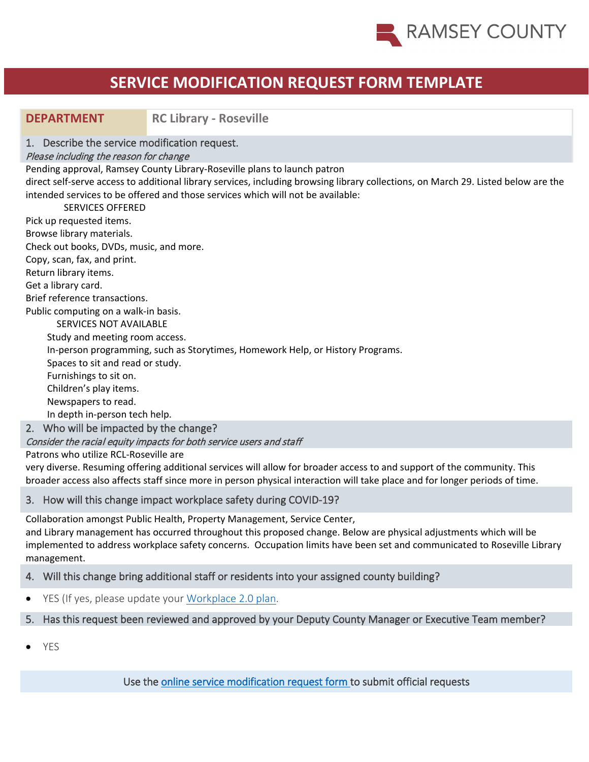

# **DEPARTMENT RC Library - Roseville**

1. Describe the service modification request.

#### Please including the reason for change

Pending approval, Ramsey County Library-Roseville plans to launch patron

direct self-serve access to additional library services, including browsing library collections, on March 29. Listed below are the intended services to be offered and those services which will not be available:

 SERVICES OFFERED Pick up requested items. Browse library materials. Check out books, DVDs, music, and more. Copy, scan, fax, and print. Return library items. Get a library card. Brief reference transactions. Public computing on a walk-in basis. SERVICES NOT AVAILABLE Study and meeting room access. In-person programming, such as Storytimes, Homework Help, or History Programs. Spaces to sit and read or study. Furnishings to sit on. Children's play items. Newspapers to read. In depth in-person tech help.

2. Who will be impacted by the change?

Consider the racial equity impacts for both service users and staff

Patrons who utilize RCL-Roseville are

very diverse. Resuming offering additional services will allow for broader access to and support of the community. This broader access also affects staff since more in person physical interaction will take place and for longer periods of time.

## 3. How will this change impact workplace safety during COVID-19?

Collaboration amongst Public Health, Property Management, Service Center,

and Library management has occurred throughout this proposed change. Below are physical adjustments which will be implemented to address workplace safety concerns. Occupation limits have been set and communicated to Roseville Library management.

## 4. Will this change bring additional staff or residents into your assigned county building?

• YES (If yes, please update your [Workplace 2.0 plan.](https://ramseynet.us/service-teams-departments/health-and-wellness/public-health/resources/current-public-health-issues/coronavirus-disease-2019-covid-19/workplace-20-plans)

## 5. Has this request been reviewed and approved by your Deputy County Manager or Executive Team member?

• YES

Use the [online service modification request form t](https://ramseynet.us/county-governance/county-manager/covid-19-service-delivery-change-request)o submit official requests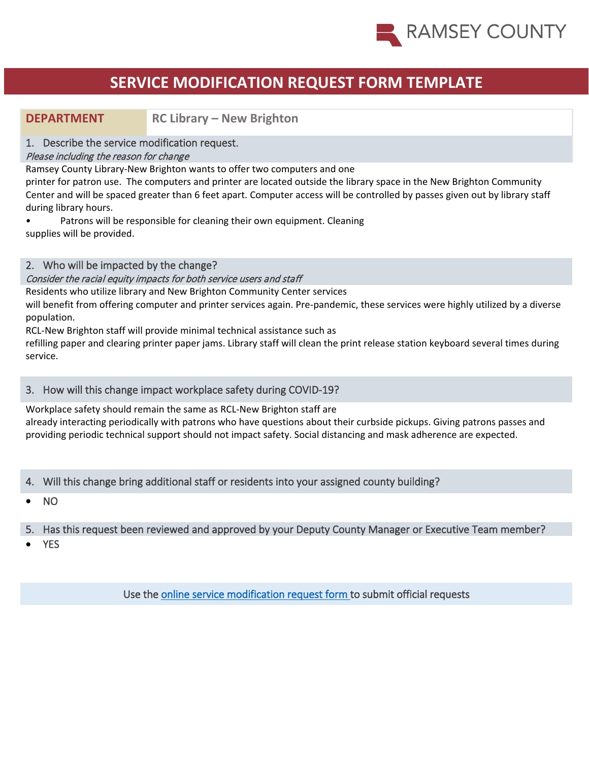

**DEPARTMENT RC Library – New Brighton** 

# 1. Describe the service modification request.

# Please including the reason for change

Ramsey County Library-New Brighton wants to offer two computers and one

printer for patron use. The computers and printer are located outside the library space in the New Brighton Community Center and will be spaced greater than 6 feet apart. Computer access will be controlled by passes given out by library staff during library hours.

• Patrons will be responsible for cleaning their own equipment. Cleaning supplies will be provided.

# 2. Who will be impacted by the change?

#### Consider the racial equity impacts for both service users and staff

Residents who utilize library and New Brighton Community Center services

will benefit from offering computer and printer services again. Pre-pandemic, these services were highly utilized by a diverse population.

RCL-New Brighton staff will provide minimal technical assistance such as

refilling paper and clearing printer paper jams. Library staff will clean the print release station keyboard several times during service.

## 3. How will this change impact workplace safety during COVID-19?

Workplace safety should remain the same as RCL-New Brighton staff are already interacting periodically with patrons who have questions about their curbside pickups. Giving patrons passes and providing periodic technical support should not impact safety. Social distancing and mask adherence are expected.

# 4. Will this change bring additional staff or residents into your assigned county building?

• NO

# 5. Has this request been reviewed and approved by your Deputy County Manager or Executive Team member?

• YES

Use the [online service modification request form t](https://ramseynet.us/county-governance/county-manager/covid-19-service-delivery-change-request)o submit official requests